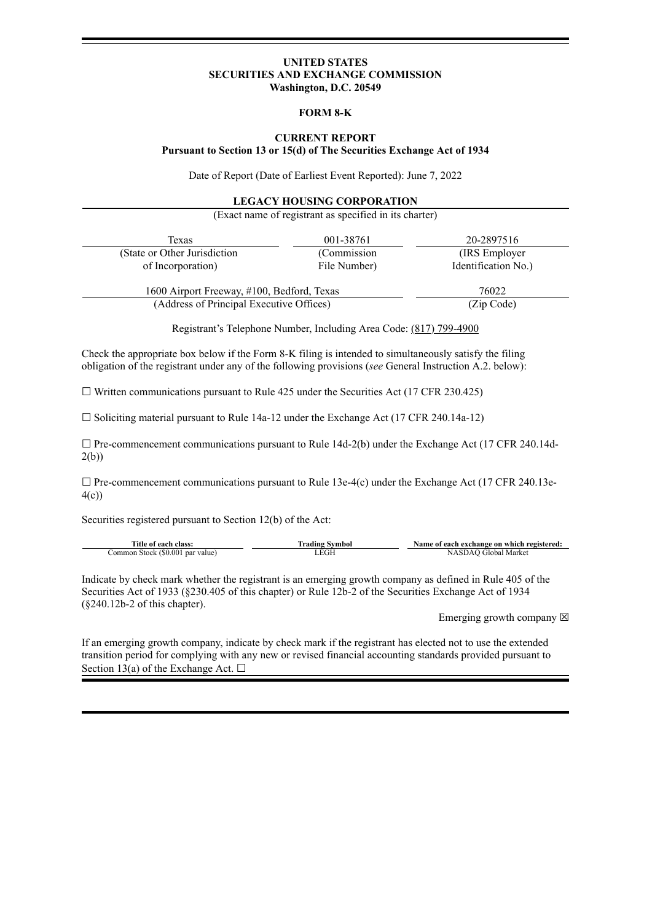### **UNITED STATES SECURITIES AND EXCHANGE COMMISSION Washington, D.C. 20549**

### **FORM 8-K**

### **CURRENT REPORT Pursuant to Section 13 or 15(d) of The Securities Exchange Act of 1934**

Date of Report (Date of Earliest Event Reported): June 7, 2022

#### **LEGACY HOUSING CORPORATION**

(Exact name of registrant as specified in its charter)

| Texas                                      | 001-38761    | 20-2897516          |
|--------------------------------------------|--------------|---------------------|
| (State or Other Jurisdiction)              | (Commission) | (IRS Employer)      |
| of Incorporation)                          | File Number) | Identification No.) |
| 1600 Airport Freeway, #100, Bedford, Texas |              | 76022               |
| (Address of Principal Executive Offices)   |              | (Zip Code)          |

Registrant's Telephone Number, Including Area Code: (817) 799-4900

Check the appropriate box below if the Form 8-K filing is intended to simultaneously satisfy the filing obligation of the registrant under any of the following provisions (*see* General Instruction A.2. below):

 $\Box$  Written communications pursuant to Rule 425 under the Securities Act (17 CFR 230.425)

☐ Soliciting material pursuant to Rule 14a-12 under the Exchange Act (17 CFR 240.14a-12)

□ Pre-commencement communications pursuant to Rule 14d-2(b) under the Exchange Act (17 CFR 240.14d-2(b))

 $\Box$  Pre-commencement communications pursuant to Rule 13e-4(c) under the Exchange Act (17 CFR 240.13e-4(c))

Securities registered pursuant to Section 12(b) of the Act:

| Title of each class:             | Trading Svmbol | Name of each exchange on which registered: |
|----------------------------------|----------------|--------------------------------------------|
| Common Stock (\$0.001 par value) | LEGH           | NASDAO Global Market                       |

Indicate by check mark whether the registrant is an emerging growth company as defined in Rule 405 of the Securities Act of 1933 (§230.405 of this chapter) or Rule 12b-2 of the Securities Exchange Act of 1934 (§240.12b-2 of this chapter).

Emerging growth company  $\boxtimes$ 

If an emerging growth company, indicate by check mark if the registrant has elected not to use the extended transition period for complying with any new or revised financial accounting standards provided pursuant to Section 13(a) of the Exchange Act.  $\Box$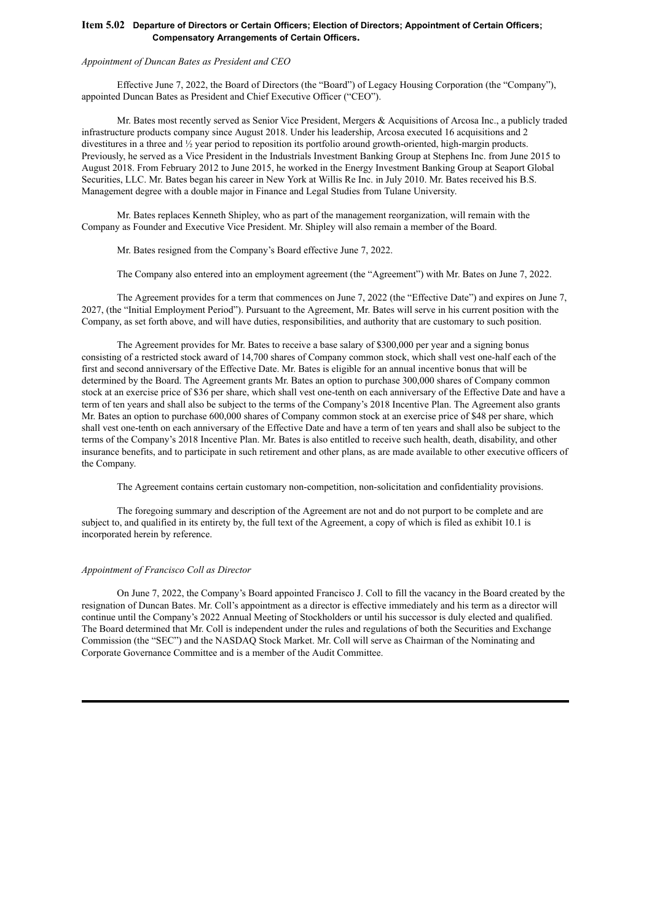### **Item 5.02 Departure of Directors or Certain Officers; Election of Directors; Appointment of Certain Officers; Compensatory Arrangements of Certain Officers.**

### *Appointment of Duncan Bates as President and CEO*

Effective June 7, 2022, the Board of Directors (the "Board") of Legacy Housing Corporation (the "Company"), appointed Duncan Bates as President and Chief Executive Officer ("CEO").

Mr. Bates most recently served as Senior Vice President, Mergers & Acquisitions of Arcosa Inc., a publicly traded infrastructure products company since August 2018. Under his leadership, Arcosa executed 16 acquisitions and 2 divestitures in a three and ½ year period to reposition its portfolio around growth-oriented, high-margin products. Previously, he served as a Vice President in the Industrials Investment Banking Group at Stephens Inc. from June 2015 to August 2018. From February 2012 to June 2015, he worked in the Energy Investment Banking Group at Seaport Global Securities, LLC. Mr. Bates began his career in New York at Willis Re Inc. in July 2010. Mr. Bates received his B.S. Management degree with a double major in Finance and Legal Studies from Tulane University.

Mr. Bates replaces Kenneth Shipley, who as part of the management reorganization, will remain with the Company as Founder and Executive Vice President. Mr. Shipley will also remain a member of the Board.

Mr. Bates resigned from the Company's Board effective June 7, 2022.

The Company also entered into an employment agreement (the "Agreement") with Mr. Bates on June 7, 2022.

The Agreement provides for a term that commences on June 7, 2022 (the "Effective Date") and expires on June 7, 2027, (the "Initial Employment Period"). Pursuant to the Agreement, Mr. Bates will serve in his current position with the Company, as set forth above, and will have duties, responsibilities, and authority that are customary to such position.

The Agreement provides for Mr. Bates to receive a base salary of \$300,000 per year and a signing bonus consisting of a restricted stock award of 14,700 shares of Company common stock, which shall vest one-half each of the first and second anniversary of the Effective Date. Mr. Bates is eligible for an annual incentive bonus that will be determined by the Board. The Agreement grants Mr. Bates an option to purchase 300,000 shares of Company common stock at an exercise price of \$36 per share, which shall vest one-tenth on each anniversary of the Effective Date and have a term of ten years and shall also be subject to the terms of the Company's 2018 Incentive Plan. The Agreement also grants Mr. Bates an option to purchase 600,000 shares of Company common stock at an exercise price of \$48 per share, which shall vest one-tenth on each anniversary of the Effective Date and have a term of ten years and shall also be subject to the terms of the Company's 2018 Incentive Plan. Mr. Bates is also entitled to receive such health, death, disability, and other insurance benefits, and to participate in such retirement and other plans, as are made available to other executive officers of the Company.

The Agreement contains certain customary non-competition, non-solicitation and confidentiality provisions.

The foregoing summary and description of the Agreement are not and do not purport to be complete and are subject to, and qualified in its entirety by, the full text of the Agreement, a copy of which is filed as exhibit 10.1 is incorporated herein by reference.

#### *Appointment of Francisco Coll as Director*

On June 7, 2022, the Company's Board appointed Francisco J. Coll to fill the vacancy in the Board created by the resignation of Duncan Bates. Mr. Coll's appointment as a director is effective immediately and his term as a director will continue until the Company's 2022 Annual Meeting of Stockholders or until his successor is duly elected and qualified. The Board determined that Mr. Coll is independent under the rules and regulations of both the Securities and Exchange Commission (the "SEC") and the NASDAQ Stock Market. Mr. Coll will serve as Chairman of the Nominating and Corporate Governance Committee and is a member of the Audit Committee.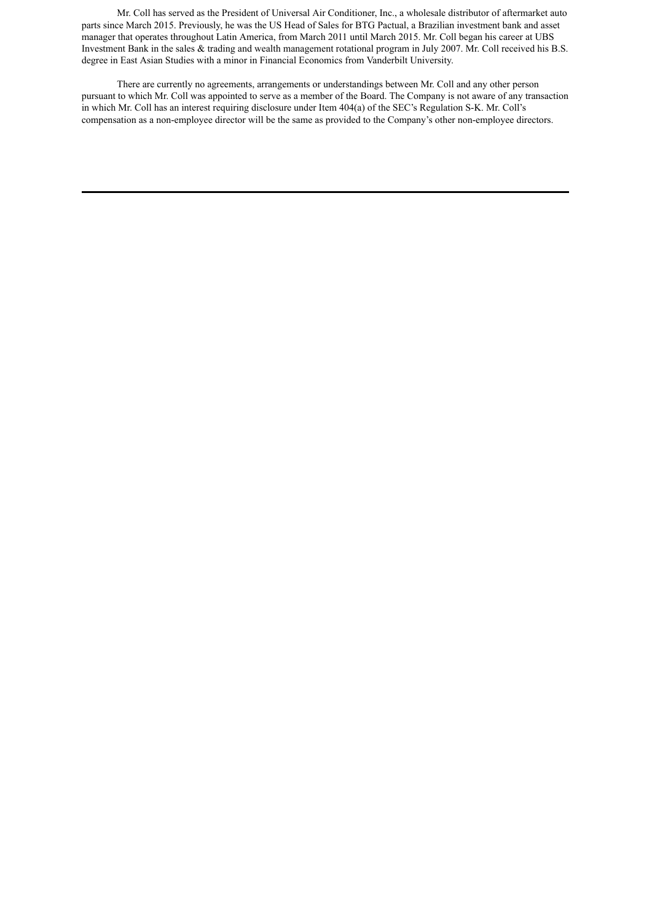Mr. Coll has served as the President of Universal Air Conditioner, Inc., a wholesale distributor of aftermarket auto parts since March 2015. Previously, he was the US Head of Sales for BTG Pactual, a Brazilian investment bank and asset manager that operates throughout Latin America, from March 2011 until March 2015. Mr. Coll began his career at UBS Investment Bank in the sales & trading and wealth management rotational program in July 2007. Mr. Coll received his B.S. degree in East Asian Studies with a minor in Financial Economics from Vanderbilt University.

There are currently no agreements, arrangements or understandings between Mr. Coll and any other person pursuant to which Mr. Coll was appointed to serve as a member of the Board. The Company is not aware of any transaction in which Mr. Coll has an interest requiring disclosure under Item 404(a) of the SEC's Regulation S-K. Mr. Coll's compensation as a non-employee director will be the same as provided to the Company's other non-employee directors.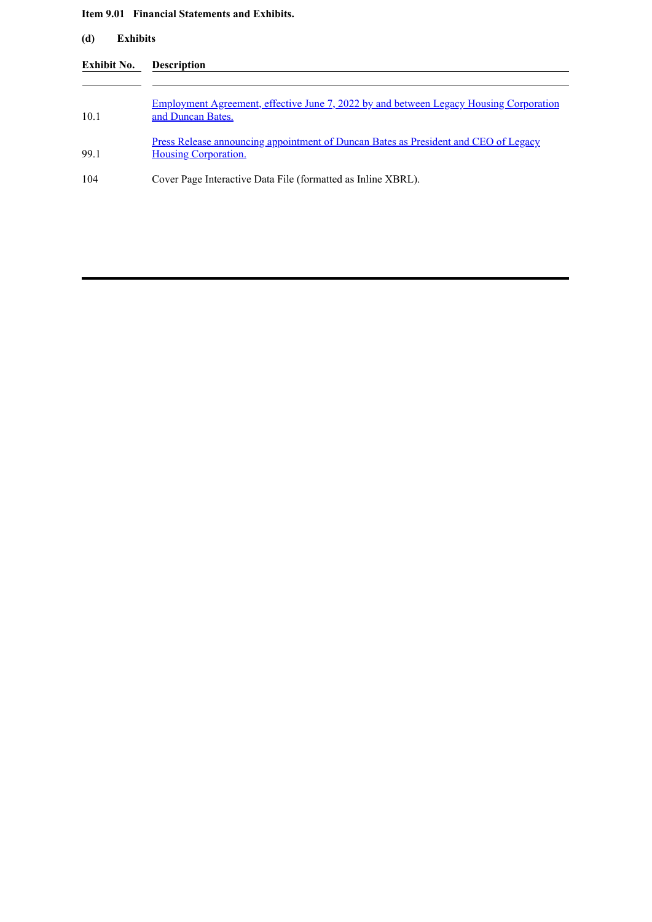## **Item 9.01 Financial Statements and Exhibits.**

| Exhibit No. | <b>Description</b>                                                                                                 |
|-------------|--------------------------------------------------------------------------------------------------------------------|
| 10.1        | <u>Employment Agreement, effective June 7, 2022 by and between Legacy Housing Corporation</u><br>and Duncan Bates. |
| 991         | Press Release announcing appointment of Duncan Bates as President and CEO of Legacy<br><b>Housing Corporation.</b> |
| 104         | Cover Page Interactive Data File (formatted as Inline XBRL).                                                       |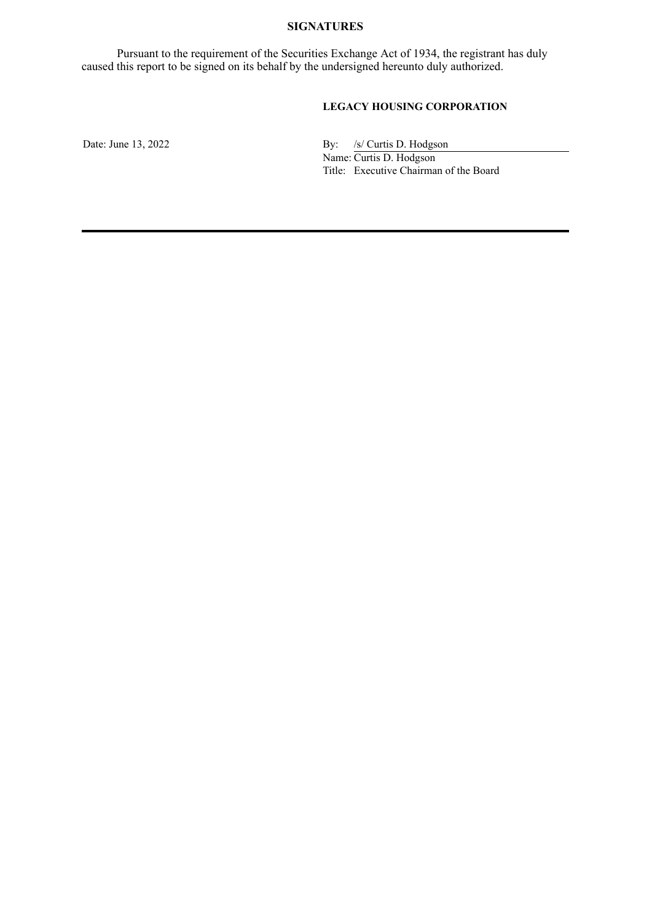## **SIGNATURES**

Pursuant to the requirement of the Securities Exchange Act of 1934, the registrant has duly caused this report to be signed on its behalf by the undersigned hereunto duly authorized.

# **LEGACY HOUSING CORPORATION**

Date: June 13, 2022 By: /s/ Curtis D. Hodgson Name: Curtis D. Hodgson

Title: Executive Chairman of the Board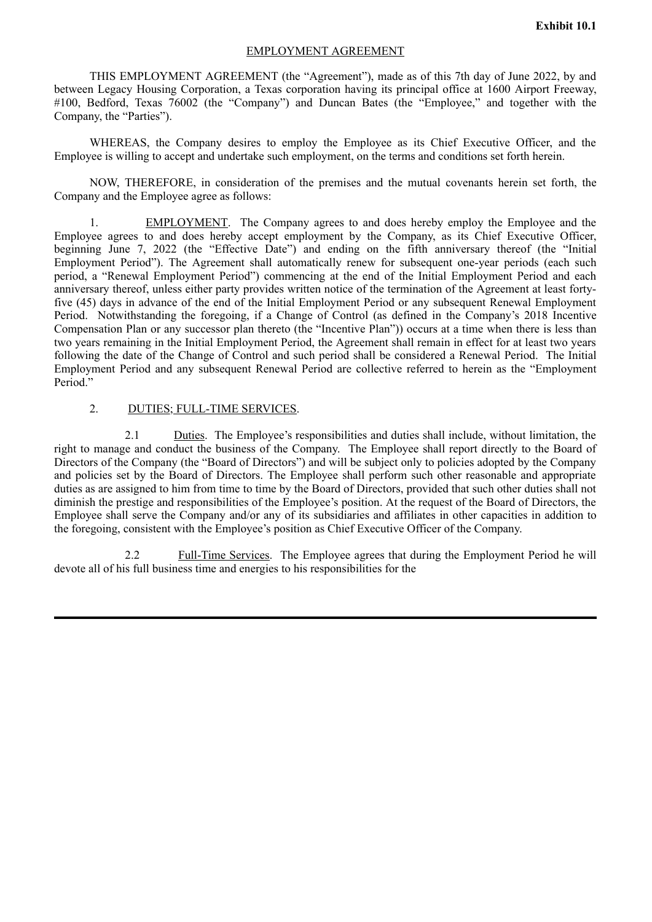## EMPLOYMENT AGREEMENT

<span id="page-5-0"></span>THIS EMPLOYMENT AGREEMENT (the "Agreement"), made as of this 7th day of June 2022, by and between Legacy Housing Corporation, a Texas corporation having its principal office at 1600 Airport Freeway, #100, Bedford, Texas 76002 (the "Company") and Duncan Bates (the "Employee," and together with the Company, the "Parties").

WHEREAS, the Company desires to employ the Employee as its Chief Executive Officer, and the Employee is willing to accept and undertake such employment, on the terms and conditions set forth herein.

NOW, THEREFORE, in consideration of the premises and the mutual covenants herein set forth, the Company and the Employee agree as follows:

1. EMPLOYMENT. The Company agrees to and does hereby employ the Employee and the Employee agrees to and does hereby accept employment by the Company, as its Chief Executive Officer, beginning June 7, 2022 (the "Effective Date") and ending on the fifth anniversary thereof (the "Initial Employment Period"). The Agreement shall automatically renew for subsequent one-year periods (each such period, a "Renewal Employment Period") commencing at the end of the Initial Employment Period and each anniversary thereof, unless either party provides written notice of the termination of the Agreement at least fortyfive (45) days in advance of the end of the Initial Employment Period or any subsequent Renewal Employment Period. Notwithstanding the foregoing, if a Change of Control (as defined in the Company's 2018 Incentive Compensation Plan or any successor plan thereto (the "Incentive Plan")) occurs at a time when there is less than two years remaining in the Initial Employment Period, the Agreement shall remain in effect for at least two years following the date of the Change of Control and such period shall be considered a Renewal Period. The Initial Employment Period and any subsequent Renewal Period are collective referred to herein as the "Employment Period<sup>"</sup>

## 2. DUTIES; FULL-TIME SERVICES.

2.1 Duties. The Employee's responsibilities and duties shall include, without limitation, the right to manage and conduct the business of the Company. The Employee shall report directly to the Board of Directors of the Company (the "Board of Directors") and will be subject only to policies adopted by the Company and policies set by the Board of Directors. The Employee shall perform such other reasonable and appropriate duties as are assigned to him from time to time by the Board of Directors, provided that such other duties shall not diminish the prestige and responsibilities of the Employee's position. At the request of the Board of Directors, the Employee shall serve the Company and/or any of its subsidiaries and affiliates in other capacities in addition to the foregoing, consistent with the Employee's position as Chief Executive Officer of the Company.

2.2 Full-Time Services. The Employee agrees that during the Employment Period he will devote all of his full business time and energies to his responsibilities for the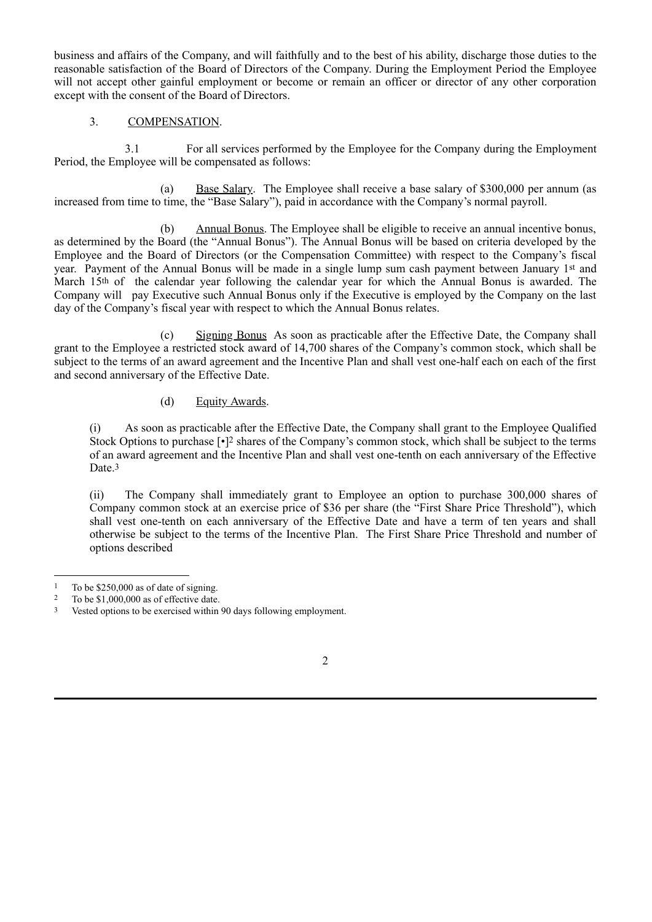business and affairs of the Company, and will faithfully and to the best of his ability, discharge those duties to the reasonable satisfaction of the Board of Directors of the Company. During the Employment Period the Employee will not accept other gainful employment or become or remain an officer or director of any other corporation except with the consent of the Board of Directors.

## 3. COMPENSATION.

3.1 For all services performed by the Employee for the Company during the Employment Period, the Employee will be compensated as follows:

(a) Base Salary. The Employee shall receive a base salary of \$300,000 per annum (as increased from time to time, the "Base Salary"), paid in accordance with the Company's normal payroll.

(b) Annual Bonus. The Employee shall be eligible to receive an annual incentive bonus, as determined by the Board (the "Annual Bonus"). The Annual Bonus will be based on criteria developed by the Employee and the Board of Directors (or the Compensation Committee) with respect to the Company's fiscal year. Payment of the Annual Bonus will be made in a single lump sum cash payment between January 1st and March 15<sup>th</sup> of the calendar year following the calendar year for which the Annual Bonus is awarded. The Company will pay Executive such Annual Bonus only if the Executive is employed by the Company on the last day of the Company's fiscal year with respect to which the Annual Bonus relates.

(c) Signing Bonus As soon as practicable after the Effective Date, the Company shall grant to the Employee a restricted stock award of 14,700 shares of the Company's common stock, which shall be subject to the terms of an award agreement and the Incentive Plan and shall vest one-half each on each of the first and second anniversary of the Effective Date.

# (d) Equity Awards.

(i) As soon as practicable after the Effective Date, the Company shall grant to the Employee Qualified Stock Options to purchase [•]2 shares of the Company's common stock, which shall be subject to the terms of an award agreement and the Incentive Plan and shall vest one-tenth on each anniversary of the Effective Date.<sup>3</sup>

(ii) The Company shall immediately grant to Employee an option to purchase 300,000 shares of Company common stock at an exercise price of \$36 per share (the "First Share Price Threshold"), which shall vest one-tenth on each anniversary of the Effective Date and have a term of ten years and shall otherwise be subject to the terms of the Incentive Plan. The First Share Price Threshold and number of options described

<sup>3</sup> Vested options to be exercised within 90 days following employment.



<sup>&</sup>lt;sup>1</sup> To be \$250,000 as of date of signing.<br><sup>2</sup> To be \$1,000,000 as of offective date

To be \$1,000,000 as of effective date.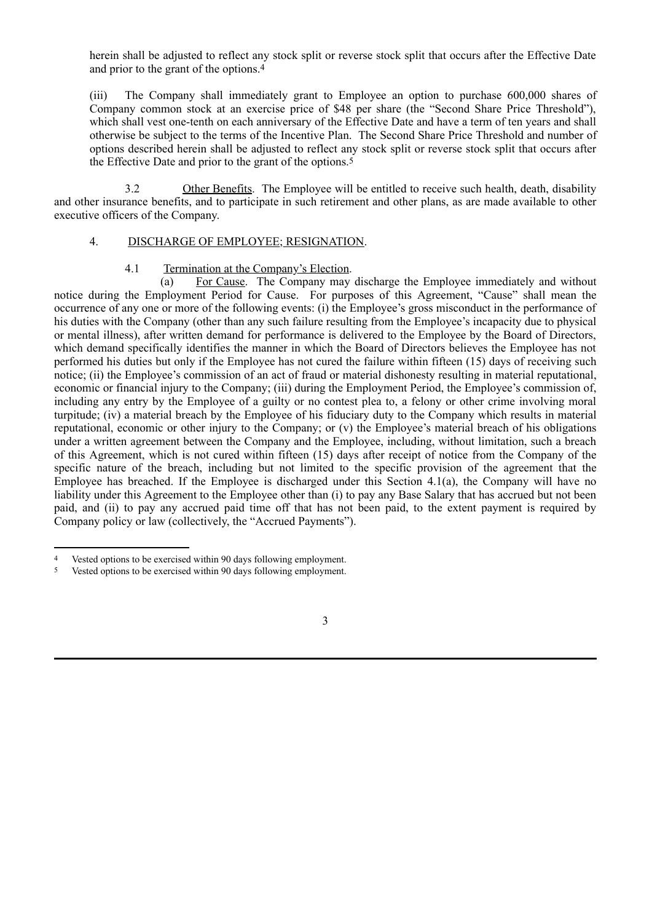herein shall be adjusted to reflect any stock split or reverse stock split that occurs after the Effective Date and prior to the grant of the options.4

(iii) The Company shall immediately grant to Employee an option to purchase 600,000 shares of Company common stock at an exercise price of \$48 per share (the "Second Share Price Threshold"), which shall vest one-tenth on each anniversary of the Effective Date and have a term of ten years and shall otherwise be subject to the terms of the Incentive Plan. The Second Share Price Threshold and number of options described herein shall be adjusted to reflect any stock split or reverse stock split that occurs after the Effective Date and prior to the grant of the options.5

3.2 Other Benefits. The Employee will be entitled to receive such health, death, disability and other insurance benefits, and to participate in such retirement and other plans, as are made available to other executive officers of the Company.

## 4. DISCHARGE OF EMPLOYEE; RESIGNATION.

## 4.1 Termination at the Company's Election.

(a) For Cause. The Company may discharge the Employee immediately and without notice during the Employment Period for Cause. For purposes of this Agreement, "Cause" shall mean the occurrence of any one or more of the following events: (i) the Employee's gross misconduct in the performance of his duties with the Company (other than any such failure resulting from the Employee's incapacity due to physical or mental illness), after written demand for performance is delivered to the Employee by the Board of Directors, which demand specifically identifies the manner in which the Board of Directors believes the Employee has not performed his duties but only if the Employee has not cured the failure within fifteen (15) days of receiving such notice; (ii) the Employee's commission of an act of fraud or material dishonesty resulting in material reputational, economic or financial injury to the Company; (iii) during the Employment Period, the Employee's commission of, including any entry by the Employee of a guilty or no contest plea to, a felony or other crime involving moral turpitude; (iv) a material breach by the Employee of his fiduciary duty to the Company which results in material reputational, economic or other injury to the Company; or (v) the Employee's material breach of his obligations under a written agreement between the Company and the Employee, including, without limitation, such a breach of this Agreement, which is not cured within fifteen (15) days after receipt of notice from the Company of the specific nature of the breach, including but not limited to the specific provision of the agreement that the Employee has breached. If the Employee is discharged under this Section 4.1(a), the Company will have no liability under this Agreement to the Employee other than (i) to pay any Base Salary that has accrued but not been paid, and (ii) to pay any accrued paid time off that has not been paid, to the extent payment is required by Company policy or law (collectively, the "Accrued Payments").

<sup>4</sup> Vested options to be exercised within 90 days following employment.

<sup>5</sup> Vested options to be exercised within 90 days following employment.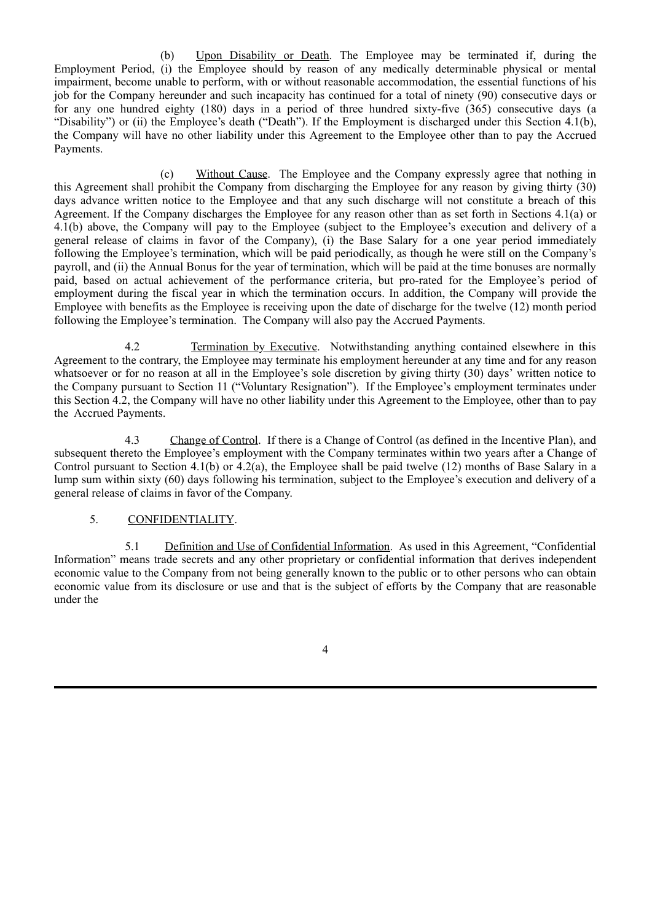(b) Upon Disability or Death. The Employee may be terminated if, during the Employment Period, (i) the Employee should by reason of any medically determinable physical or mental impairment, become unable to perform, with or without reasonable accommodation, the essential functions of his job for the Company hereunder and such incapacity has continued for a total of ninety (90) consecutive days or for any one hundred eighty (180) days in a period of three hundred sixty-five (365) consecutive days (a "Disability") or (ii) the Employee's death ("Death"). If the Employment is discharged under this Section 4.1(b), the Company will have no other liability under this Agreement to the Employee other than to pay the Accrued Payments.

(c) Without Cause. The Employee and the Company expressly agree that nothing in this Agreement shall prohibit the Company from discharging the Employee for any reason by giving thirty (30) days advance written notice to the Employee and that any such discharge will not constitute a breach of this Agreement. If the Company discharges the Employee for any reason other than as set forth in Sections 4.1(a) or 4.1(b) above, the Company will pay to the Employee (subject to the Employee's execution and delivery of a general release of claims in favor of the Company), (i) the Base Salary for a one year period immediately following the Employee's termination, which will be paid periodically, as though he were still on the Company's payroll, and (ii) the Annual Bonus for the year of termination, which will be paid at the time bonuses are normally paid, based on actual achievement of the performance criteria, but pro-rated for the Employee's period of employment during the fiscal year in which the termination occurs. In addition, the Company will provide the Employee with benefits as the Employee is receiving upon the date of discharge for the twelve (12) month period following the Employee's termination. The Company will also pay the Accrued Payments.

4.2 Termination by Executive. Notwithstanding anything contained elsewhere in this Agreement to the contrary, the Employee may terminate his employment hereunder at any time and for any reason whatsoever or for no reason at all in the Employee's sole discretion by giving thirty (30) days' written notice to the Company pursuant to Section 11 ("Voluntary Resignation"). If the Employee's employment terminates under this Section 4.2, the Company will have no other liability under this Agreement to the Employee, other than to pay the Accrued Payments.

4.3 Change of Control. If there is a Change of Control (as defined in the Incentive Plan), and subsequent thereto the Employee's employment with the Company terminates within two years after a Change of Control pursuant to Section 4.1(b) or 4.2(a), the Employee shall be paid twelve (12) months of Base Salary in a lump sum within sixty (60) days following his termination, subject to the Employee's execution and delivery of a general release of claims in favor of the Company.

# 5. CONFIDENTIALITY.

5.1 Definition and Use of Confidential Information. As used in this Agreement, "Confidential Information" means trade secrets and any other proprietary or confidential information that derives independent economic value to the Company from not being generally known to the public or to other persons who can obtain economic value from its disclosure or use and that is the subject of efforts by the Company that are reasonable under the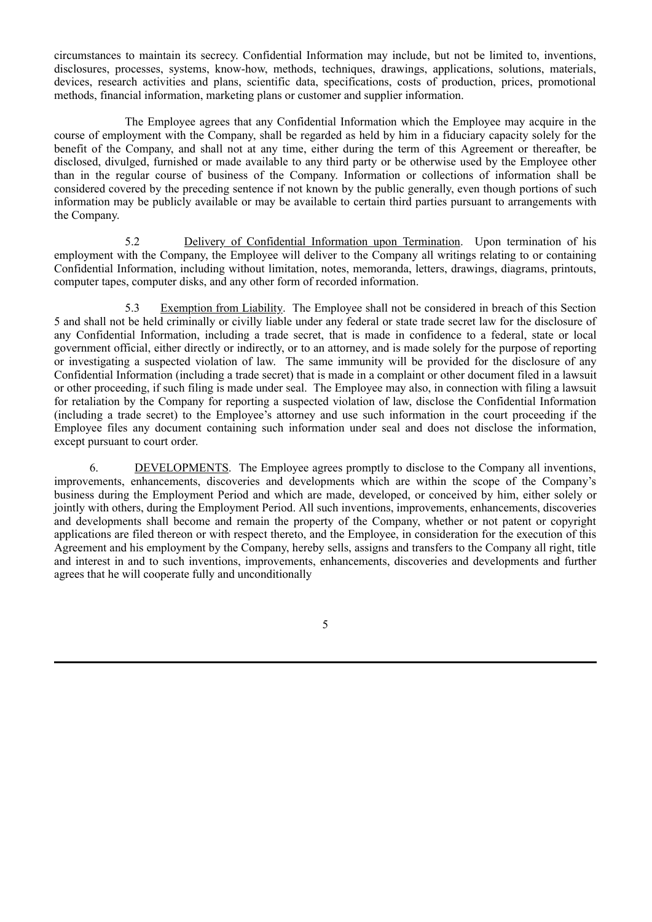circumstances to maintain its secrecy. Confidential Information may include, but not be limited to, inventions, disclosures, processes, systems, know-how, methods, techniques, drawings, applications, solutions, materials, devices, research activities and plans, scientific data, specifications, costs of production, prices, promotional methods, financial information, marketing plans or customer and supplier information.

The Employee agrees that any Confidential Information which the Employee may acquire in the course of employment with the Company, shall be regarded as held by him in a fiduciary capacity solely for the benefit of the Company, and shall not at any time, either during the term of this Agreement or thereafter, be disclosed, divulged, furnished or made available to any third party or be otherwise used by the Employee other than in the regular course of business of the Company. Information or collections of information shall be considered covered by the preceding sentence if not known by the public generally, even though portions of such information may be publicly available or may be available to certain third parties pursuant to arrangements with the Company.

5.2 Delivery of Confidential Information upon Termination. Upon termination of his employment with the Company, the Employee will deliver to the Company all writings relating to or containing Confidential Information, including without limitation, notes, memoranda, letters, drawings, diagrams, printouts, computer tapes, computer disks, and any other form of recorded information.

5.3 Exemption from Liability. The Employee shall not be considered in breach of this Section 5 and shall not be held criminally or civilly liable under any federal or state trade secret law for the disclosure of any Confidential Information, including a trade secret, that is made in confidence to a federal, state or local government official, either directly or indirectly, or to an attorney, and is made solely for the purpose of reporting or investigating a suspected violation of law. The same immunity will be provided for the disclosure of any Confidential Information (including a trade secret) that is made in a complaint or other document filed in a lawsuit or other proceeding, if such filing is made under seal. The Employee may also, in connection with filing a lawsuit for retaliation by the Company for reporting a suspected violation of law, disclose the Confidential Information (including a trade secret) to the Employee's attorney and use such information in the court proceeding if the Employee files any document containing such information under seal and does not disclose the information, except pursuant to court order.

6. DEVELOPMENTS. The Employee agrees promptly to disclose to the Company all inventions, improvements, enhancements, discoveries and developments which are within the scope of the Company's business during the Employment Period and which are made, developed, or conceived by him, either solely or jointly with others, during the Employment Period. All such inventions, improvements, enhancements, discoveries and developments shall become and remain the property of the Company, whether or not patent or copyright applications are filed thereon or with respect thereto, and the Employee, in consideration for the execution of this Agreement and his employment by the Company, hereby sells, assigns and transfers to the Company all right, title and interest in and to such inventions, improvements, enhancements, discoveries and developments and further agrees that he will cooperate fully and unconditionally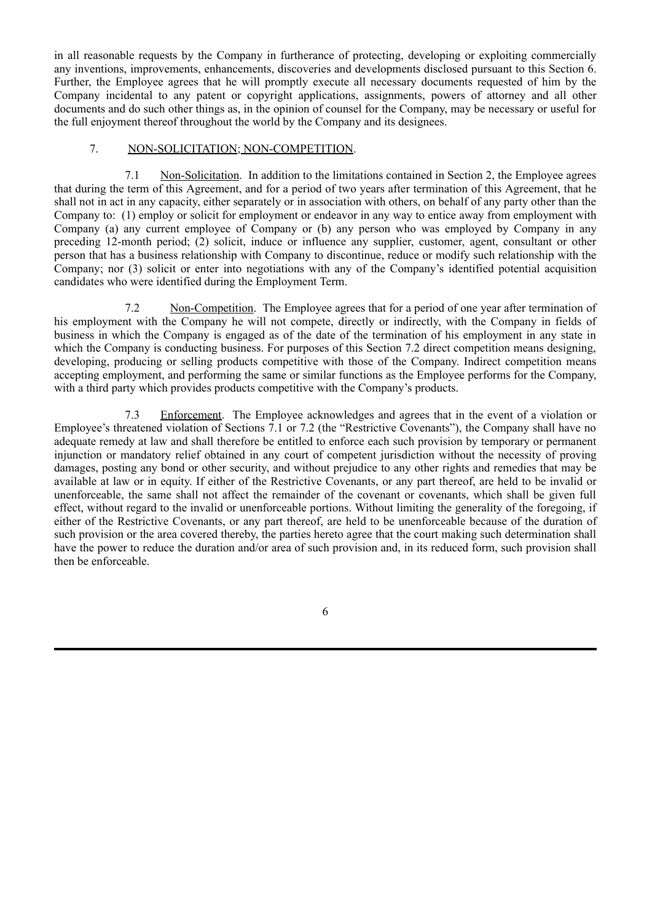in all reasonable requests by the Company in furtherance of protecting, developing or exploiting commercially any inventions, improvements, enhancements, discoveries and developments disclosed pursuant to this Section 6. Further, the Employee agrees that he will promptly execute all necessary documents requested of him by the Company incidental to any patent or copyright applications, assignments, powers of attorney and all other documents and do such other things as, in the opinion of counsel for the Company, may be necessary or useful for the full enjoyment thereof throughout the world by the Company and its designees.

## 7. NON-SOLICITATION; NON-COMPETITION.

7.1 Non-Solicitation. In addition to the limitations contained in Section 2, the Employee agrees that during the term of this Agreement, and for a period of two years after termination of this Agreement, that he shall not in act in any capacity, either separately or in association with others, on behalf of any party other than the Company to: (1) employ or solicit for employment or endeavor in any way to entice away from employment with Company (a) any current employee of Company or (b) any person who was employed by Company in any preceding 12-month period; (2) solicit, induce or influence any supplier, customer, agent, consultant or other person that has a business relationship with Company to discontinue, reduce or modify such relationship with the Company; nor (3) solicit or enter into negotiations with any of the Company's identified potential acquisition candidates who were identified during the Employment Term.

7.2 Non-Competition. The Employee agrees that for a period of one year after termination of his employment with the Company he will not compete, directly or indirectly, with the Company in fields of business in which the Company is engaged as of the date of the termination of his employment in any state in which the Company is conducting business. For purposes of this Section 7.2 direct competition means designing, developing, producing or selling products competitive with those of the Company. Indirect competition means accepting employment, and performing the same or similar functions as the Employee performs for the Company, with a third party which provides products competitive with the Company's products.

7.3 Enforcement. The Employee acknowledges and agrees that in the event of a violation or Employee's threatened violation of Sections 7.1 or 7.2 (the "Restrictive Covenants"), the Company shall have no adequate remedy at law and shall therefore be entitled to enforce each such provision by temporary or permanent injunction or mandatory relief obtained in any court of competent jurisdiction without the necessity of proving damages, posting any bond or other security, and without prejudice to any other rights and remedies that may be available at law or in equity. If either of the Restrictive Covenants, or any part thereof, are held to be invalid or unenforceable, the same shall not affect the remainder of the covenant or covenants, which shall be given full effect, without regard to the invalid or unenforceable portions. Without limiting the generality of the foregoing, if either of the Restrictive Covenants, or any part thereof, are held to be unenforceable because of the duration of such provision or the area covered thereby, the parties hereto agree that the court making such determination shall have the power to reduce the duration and/or area of such provision and, in its reduced form, such provision shall then be enforceable.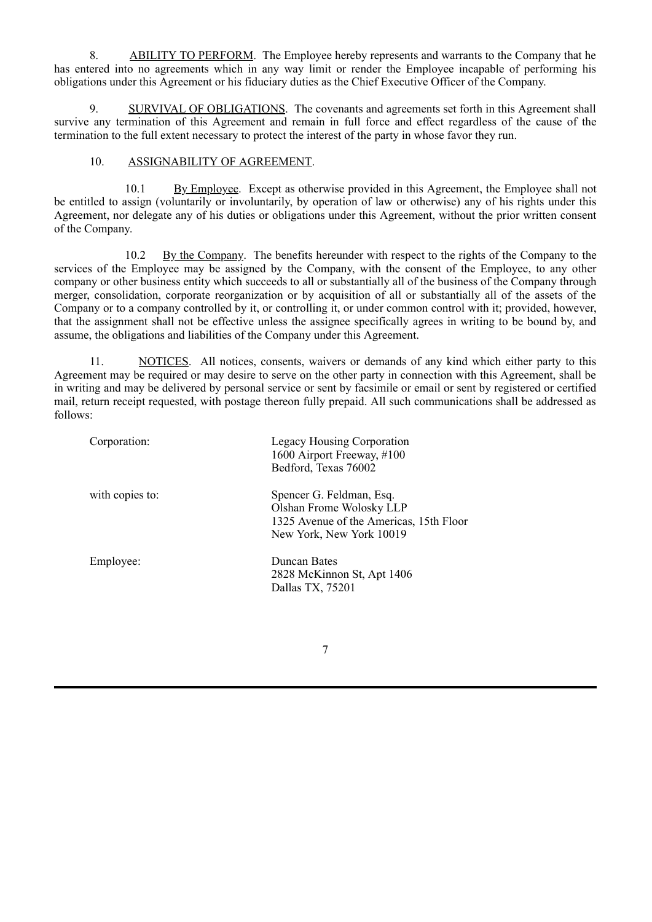8. ABILITY TO PERFORM. The Employee hereby represents and warrants to the Company that he has entered into no agreements which in any way limit or render the Employee incapable of performing his obligations under this Agreement or his fiduciary duties as the Chief Executive Officer of the Company.

9. SURVIVAL OF OBLIGATIONS. The covenants and agreements set forth in this Agreement shall survive any termination of this Agreement and remain in full force and effect regardless of the cause of the termination to the full extent necessary to protect the interest of the party in whose favor they run.

## 10. ASSIGNABILITY OF AGREEMENT.

10.1 By Employee. Except as otherwise provided in this Agreement, the Employee shall not be entitled to assign (voluntarily or involuntarily, by operation of law or otherwise) any of his rights under this Agreement, nor delegate any of his duties or obligations under this Agreement, without the prior written consent of the Company.

10.2 By the Company. The benefits hereunder with respect to the rights of the Company to the services of the Employee may be assigned by the Company, with the consent of the Employee, to any other company or other business entity which succeeds to all or substantially all of the business of the Company through merger, consolidation, corporate reorganization or by acquisition of all or substantially all of the assets of the Company or to a company controlled by it, or controlling it, or under common control with it; provided, however, that the assignment shall not be effective unless the assignee specifically agrees in writing to be bound by, and assume, the obligations and liabilities of the Company under this Agreement.

11. NOTICES. All notices, consents, waivers or demands of any kind which either party to this Agreement may be required or may desire to serve on the other party in connection with this Agreement, shall be in writing and may be delivered by personal service or sent by facsimile or email or sent by registered or certified mail, return receipt requested, with postage thereon fully prepaid. All such communications shall be addressed as follows:

| Corporation:    | <b>Legacy Housing Corporation</b><br>1600 Airport Freeway, #100<br>Bedford, Texas 76002                                     |
|-----------------|-----------------------------------------------------------------------------------------------------------------------------|
| with copies to: | Spencer G. Feldman, Esq.<br>Olshan Frome Wolosky LLP<br>1325 Avenue of the Americas, 15th Floor<br>New York, New York 10019 |
| Employee:       | Duncan Bates<br>2828 McKinnon St, Apt 1406<br>Dallas TX, 75201                                                              |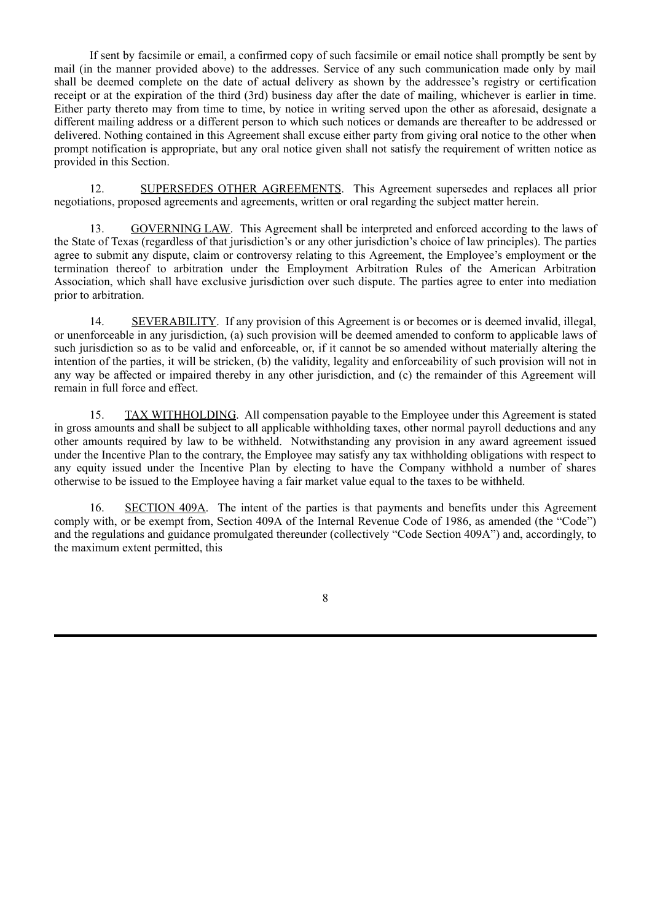If sent by facsimile or email, a confirmed copy of such facsimile or email notice shall promptly be sent by mail (in the manner provided above) to the addresses. Service of any such communication made only by mail shall be deemed complete on the date of actual delivery as shown by the addressee's registry or certification receipt or at the expiration of the third (3rd) business day after the date of mailing, whichever is earlier in time. Either party thereto may from time to time, by notice in writing served upon the other as aforesaid, designate a different mailing address or a different person to which such notices or demands are thereafter to be addressed or delivered. Nothing contained in this Agreement shall excuse either party from giving oral notice to the other when prompt notification is appropriate, but any oral notice given shall not satisfy the requirement of written notice as provided in this Section.

12. SUPERSEDES OTHER AGREEMENTS. This Agreement supersedes and replaces all prior negotiations, proposed agreements and agreements, written or oral regarding the subject matter herein.

13. GOVERNING LAW. This Agreement shall be interpreted and enforced according to the laws of the State of Texas (regardless of that jurisdiction's or any other jurisdiction's choice of law principles). The parties agree to submit any dispute, claim or controversy relating to this Agreement, the Employee's employment or the termination thereof to arbitration under the Employment Arbitration Rules of the American Arbitration Association, which shall have exclusive jurisdiction over such dispute. The parties agree to enter into mediation prior to arbitration.

14. SEVERABILITY. If any provision of this Agreement is or becomes or is deemed invalid, illegal, or unenforceable in any jurisdiction, (a) such provision will be deemed amended to conform to applicable laws of such jurisdiction so as to be valid and enforceable, or, if it cannot be so amended without materially altering the intention of the parties, it will be stricken, (b) the validity, legality and enforceability of such provision will not in any way be affected or impaired thereby in any other jurisdiction, and (c) the remainder of this Agreement will remain in full force and effect.

15. TAX WITHHOLDING. All compensation payable to the Employee under this Agreement is stated in gross amounts and shall be subject to all applicable withholding taxes, other normal payroll deductions and any other amounts required by law to be withheld. Notwithstanding any provision in any award agreement issued under the Incentive Plan to the contrary, the Employee may satisfy any tax withholding obligations with respect to any equity issued under the Incentive Plan by electing to have the Company withhold a number of shares otherwise to be issued to the Employee having a fair market value equal to the taxes to be withheld.

16. SECTION 409A. The intent of the parties is that payments and benefits under this Agreement comply with, or be exempt from, Section 409A of the Internal Revenue Code of 1986, as amended (the "Code") and the regulations and guidance promulgated thereunder (collectively "Code Section 409A") and, accordingly, to the maximum extent permitted, this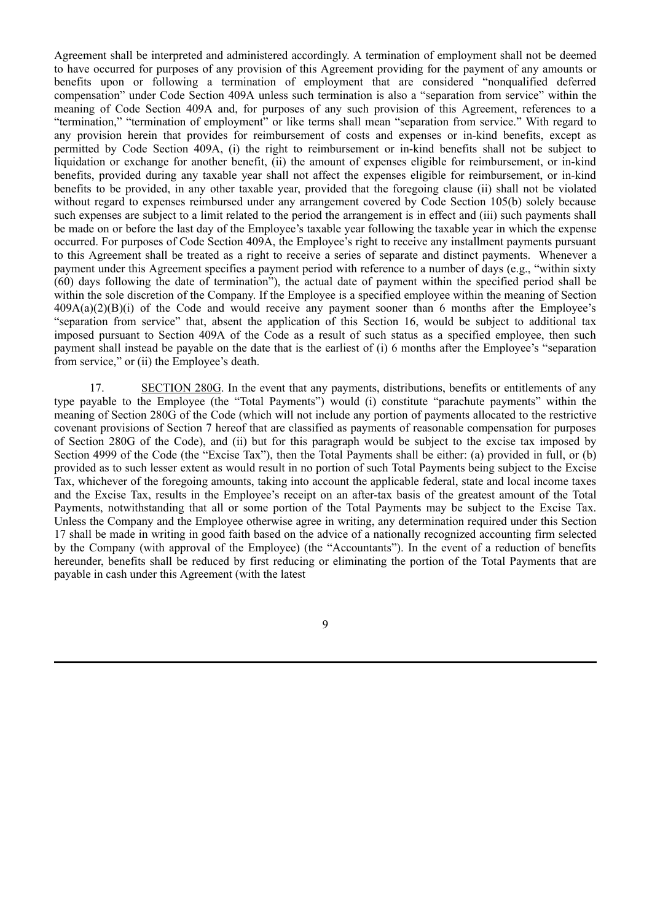Agreement shall be interpreted and administered accordingly. A termination of employment shall not be deemed to have occurred for purposes of any provision of this Agreement providing for the payment of any amounts or benefits upon or following a termination of employment that are considered "nonqualified deferred compensation" under Code Section 409A unless such termination is also a "separation from service" within the meaning of Code Section 409A and, for purposes of any such provision of this Agreement, references to a "termination," "termination of employment" or like terms shall mean "separation from service." With regard to any provision herein that provides for reimbursement of costs and expenses or in-kind benefits, except as permitted by Code Section 409A, (i) the right to reimbursement or in-kind benefits shall not be subject to liquidation or exchange for another benefit, (ii) the amount of expenses eligible for reimbursement, or in-kind benefits, provided during any taxable year shall not affect the expenses eligible for reimbursement, or in-kind benefits to be provided, in any other taxable year, provided that the foregoing clause (ii) shall not be violated without regard to expenses reimbursed under any arrangement covered by Code Section 105(b) solely because such expenses are subject to a limit related to the period the arrangement is in effect and (iii) such payments shall be made on or before the last day of the Employee's taxable year following the taxable year in which the expense occurred. For purposes of Code Section 409A, the Employee's right to receive any installment payments pursuant to this Agreement shall be treated as a right to receive a series of separate and distinct payments. Whenever a payment under this Agreement specifies a payment period with reference to a number of days (e.g., "within sixty (60) days following the date of termination"), the actual date of payment within the specified period shall be within the sole discretion of the Company. If the Employee is a specified employee within the meaning of Section 409A(a)(2)(B)(i) of the Code and would receive any payment sooner than 6 months after the Employee's "separation from service" that, absent the application of this Section 16, would be subject to additional tax imposed pursuant to Section 409A of the Code as a result of such status as a specified employee, then such payment shall instead be payable on the date that is the earliest of (i) 6 months after the Employee's "separation from service," or (ii) the Employee's death.

17. SECTION 280G. In the event that any payments, distributions, benefits or entitlements of any type payable to the Employee (the "Total Payments") would (i) constitute "parachute payments" within the meaning of Section 280G of the Code (which will not include any portion of payments allocated to the restrictive covenant provisions of Section 7 hereof that are classified as payments of reasonable compensation for purposes of Section 280G of the Code), and (ii) but for this paragraph would be subject to the excise tax imposed by Section 4999 of the Code (the "Excise Tax"), then the Total Payments shall be either: (a) provided in full, or (b) provided as to such lesser extent as would result in no portion of such Total Payments being subject to the Excise Tax, whichever of the foregoing amounts, taking into account the applicable federal, state and local income taxes and the Excise Tax, results in the Employee's receipt on an after-tax basis of the greatest amount of the Total Payments, notwithstanding that all or some portion of the Total Payments may be subject to the Excise Tax. Unless the Company and the Employee otherwise agree in writing, any determination required under this Section 17 shall be made in writing in good faith based on the advice of a nationally recognized accounting firm selected by the Company (with approval of the Employee) (the "Accountants"). In the event of a reduction of benefits hereunder, benefits shall be reduced by first reducing or eliminating the portion of the Total Payments that are payable in cash under this Agreement (with the latest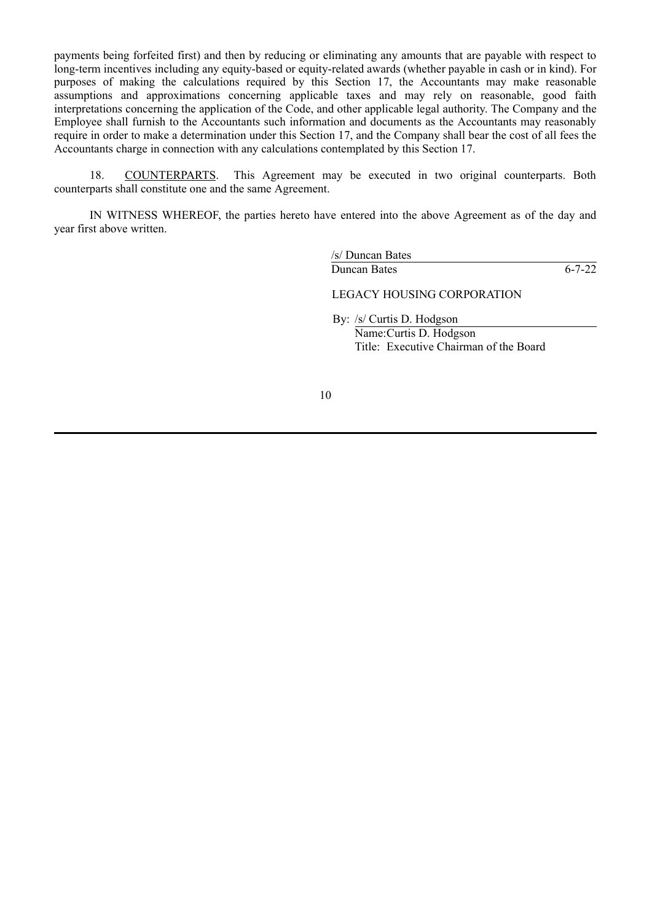payments being forfeited first) and then by reducing or eliminating any amounts that are payable with respect to long-term incentives including any equity-based or equity-related awards (whether payable in cash or in kind). For purposes of making the calculations required by this Section 17, the Accountants may make reasonable assumptions and approximations concerning applicable taxes and may rely on reasonable, good faith interpretations concerning the application of the Code, and other applicable legal authority. The Company and the Employee shall furnish to the Accountants such information and documents as the Accountants may reasonably require in order to make a determination under this Section 17, and the Company shall bear the cost of all fees the Accountants charge in connection with any calculations contemplated by this Section 17.

18. COUNTERPARTS. This Agreement may be executed in two original counterparts. Both counterparts shall constitute one and the same Agreement.

IN WITNESS WHEREOF, the parties hereto have entered into the above Agreement as of the day and year first above written.

/s/ Duncan Bates

Duncan Bates 6-7-22

LEGACY HOUSING CORPORATION

By: /s/ Curtis D. Hodgson Name:Curtis D. Hodgson Title: Executive Chairman of the Board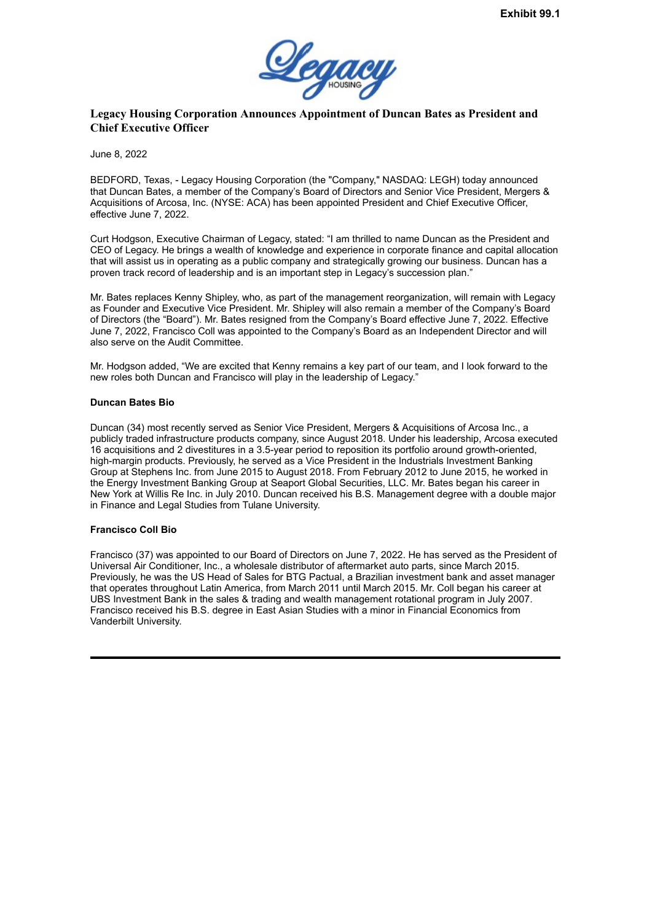

## <span id="page-15-0"></span>**Legacy Housing Corporation Announces Appointment of Duncan Bates as President and Chief Executive Officer**

June 8, 2022

BEDFORD, Texas, - Legacy Housing Corporation (the "Company," NASDAQ: LEGH) today announced that Duncan Bates, a member of the Company's Board of Directors and Senior Vice President, Mergers & Acquisitions of Arcosa, Inc. (NYSE: ACA) has been appointed President and Chief Executive Officer, effective June 7, 2022.

Curt Hodgson, Executive Chairman of Legacy, stated: "I am thrilled to name Duncan as the President and CEO of Legacy. He brings a wealth of knowledge and experience in corporate finance and capital allocation that will assist us in operating as a public company and strategically growing our business. Duncan has a proven track record of leadership and is an important step in Legacy's succession plan."

Mr. Bates replaces Kenny Shipley, who, as part of the management reorganization, will remain with Legacy as Founder and Executive Vice President. Mr. Shipley will also remain a member of the Company's Board of Directors (the "Board"). Mr. Bates resigned from the Company's Board effective June 7, 2022. Effective June 7, 2022, Francisco Coll was appointed to the Company's Board as an Independent Director and will also serve on the Audit Committee.

Mr. Hodgson added, "We are excited that Kenny remains a key part of our team, and I look forward to the new roles both Duncan and Francisco will play in the leadership of Legacy."

### **Duncan Bates Bio**

Duncan (34) most recently served as Senior Vice President, Mergers & Acquisitions of Arcosa Inc., a publicly traded infrastructure products company, since August 2018. Under his leadership, Arcosa executed 16 acquisitions and 2 divestitures in a 3.5-year period to reposition its portfolio around growth-oriented, high-margin products. Previously, he served as a Vice President in the Industrials Investment Banking Group at Stephens Inc. from June 2015 to August 2018. From February 2012 to June 2015, he worked in the Energy Investment Banking Group at Seaport Global Securities, LLC. Mr. Bates began his career in New York at Willis Re Inc. in July 2010. Duncan received his B.S. Management degree with a double major in Finance and Legal Studies from Tulane University.

### **Francisco Coll Bio**

Francisco (37) was appointed to our Board of Directors on June 7, 2022. He has served as the President of Universal Air Conditioner, Inc., a wholesale distributor of aftermarket auto parts, since March 2015. Previously, he was the US Head of Sales for BTG Pactual, a Brazilian investment bank and asset manager that operates throughout Latin America, from March 2011 until March 2015. Mr. Coll began his career at UBS Investment Bank in the sales & trading and wealth management rotational program in July 2007. Francisco received his B.S. degree in East Asian Studies with a minor in Financial Economics from Vanderbilt University.